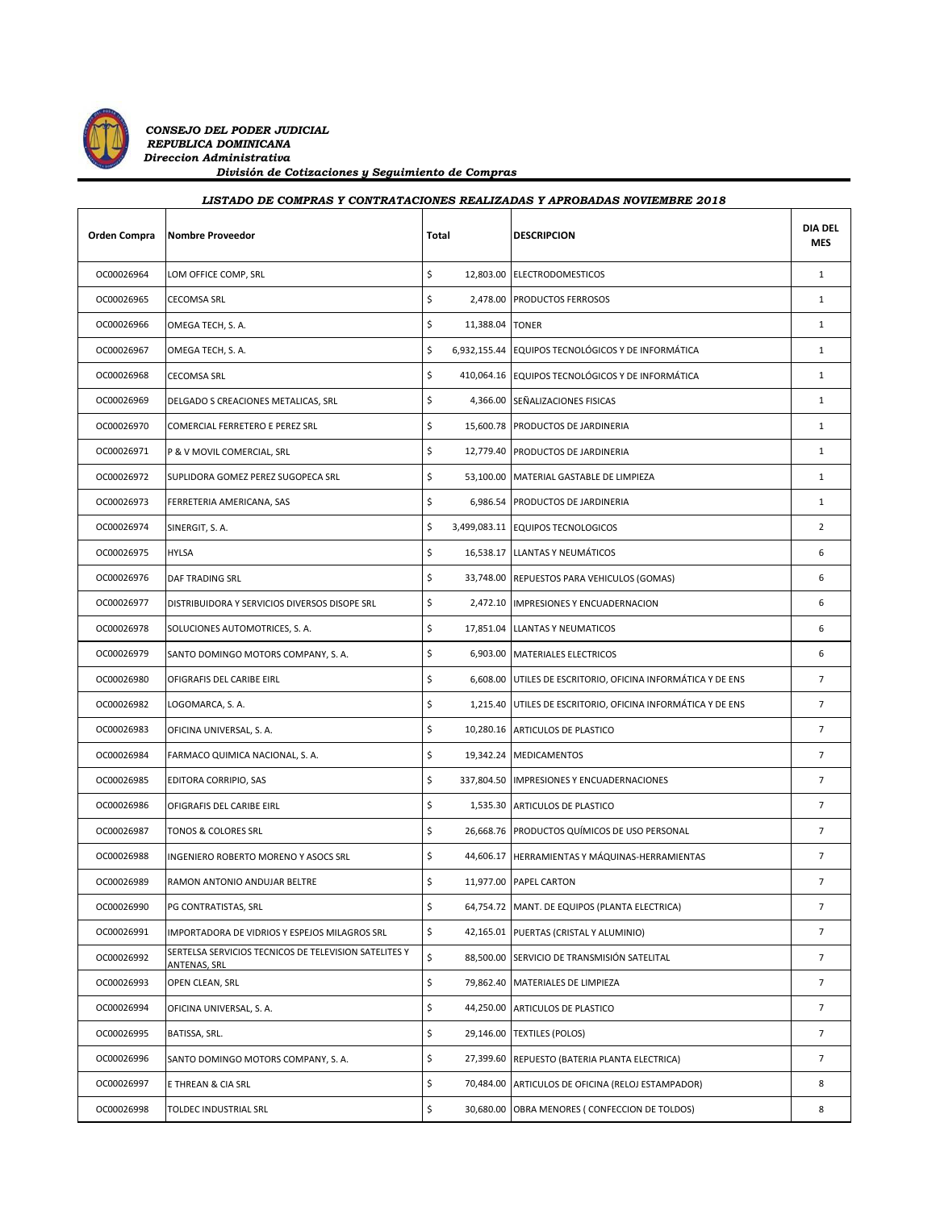

| Orden Compra | <b>Nombre Proveedor</b>                                               | Total |                 | <b>DESCRIPCION</b>                                          | <b>DIA DEL</b><br><b>MES</b> |
|--------------|-----------------------------------------------------------------------|-------|-----------------|-------------------------------------------------------------|------------------------------|
| OC00026964   | LOM OFFICE COMP, SRL                                                  | \$    |                 | 12,803.00 ELECTRODOMESTICOS                                 | $\mathbf{1}$                 |
| OC00026965   | <b>CECOMSA SRL</b>                                                    | \$    |                 | 2,478.00 PRODUCTOS FERROSOS                                 | $\mathbf{1}$                 |
| OC00026966   | OMEGA TECH, S. A.                                                     | \$    | 11,388.04 TONER |                                                             | $\mathbf{1}$                 |
| OC00026967   | OMEGA TECH, S. A.                                                     | \$    |                 | 6,932,155.44 EQUIPOS TECNOLÓGICOS Y DE INFORMÁTICA          | $\mathbf{1}$                 |
| OC00026968   | <b>CECOMSA SRL</b>                                                    | \$    |                 | 410,064.16 EQUIPOS TECNOLÓGICOS Y DE INFORMÁTICA            | $\mathbf{1}$                 |
| OC00026969   | DELGADO S CREACIONES METALICAS, SRL                                   | \$    |                 | 4,366.00 SEÑALIZACIONES FISICAS                             | $\mathbf{1}$                 |
| OC00026970   | COMERCIAL FERRETERO E PEREZ SRL                                       | \$    |                 | 15,600.78 PRODUCTOS DE JARDINERIA                           | $\mathbf{1}$                 |
| OC00026971   | P & V MOVIL COMERCIAL, SRL                                            | \$    |                 | 12,779.40 PRODUCTOS DE JARDINERIA                           | $\mathbf{1}$                 |
| OC00026972   | SUPLIDORA GOMEZ PEREZ SUGOPECA SRL                                    | \$    |                 | 53,100.00 MATERIAL GASTABLE DE LIMPIEZA                     | $\mathbf{1}$                 |
| OC00026973   | FERRETERIA AMERICANA, SAS                                             | \$    |                 | 6,986.54 PRODUCTOS DE JARDINERIA                            | $\mathbf{1}$                 |
| OC00026974   | SINERGIT, S.A.                                                        | \$    |                 | 3,499,083.11 EQUIPOS TECNOLOGICOS                           | $\overline{2}$               |
| OC00026975   | <b>HYLSA</b>                                                          | \$    |                 | 16,538.17 LLANTAS Y NEUMÁTICOS                              | 6                            |
| OC00026976   | DAF TRADING SRL                                                       | \$    |                 | 33,748.00 REPUESTOS PARA VEHICULOS (GOMAS)                  | 6                            |
| OC00026977   | DISTRIBUIDORA Y SERVICIOS DIVERSOS DISOPE SRL                         | \$    |                 | 2,472.10 IMPRESIONES Y ENCUADERNACION                       | 6                            |
| OC00026978   | SOLUCIONES AUTOMOTRICES, S. A.                                        | \$    |                 | 17,851.04 LLANTAS Y NEUMATICOS                              | 6                            |
| OC00026979   | SANTO DOMINGO MOTORS COMPANY, S. A.                                   | \$    |                 | 6,903.00 MATERIALES ELECTRICOS                              | 6                            |
| OC00026980   | OFIGRAFIS DEL CARIBE EIRL                                             | \$    |                 | 6,608.00 UTILES DE ESCRITORIO, OFICINA INFORMÁTICA Y DE ENS | $\overline{7}$               |
| OC00026982   | LOGOMARCA, S. A.                                                      | \$    |                 | 1,215.40 UTILES DE ESCRITORIO, OFICINA INFORMÁTICA Y DE ENS | $\overline{7}$               |
| OC00026983   | OFICINA UNIVERSAL, S. A.                                              | \$    |                 | 10,280.16 ARTICULOS DE PLASTICO                             | $\overline{7}$               |
| OC00026984   | FARMACO QUIMICA NACIONAL, S. A.                                       | \$    |                 | 19,342.24 MEDICAMENTOS                                      | $\overline{7}$               |
| OC00026985   | EDITORA CORRIPIO, SAS                                                 | \$    |                 | 337,804.50 IMPRESIONES Y ENCUADERNACIONES                   | $\overline{7}$               |
| OC00026986   | OFIGRAFIS DEL CARIBE EIRL                                             | \$    |                 | 1,535.30 ARTICULOS DE PLASTICO                              | $7^{\circ}$                  |
| OC00026987   | TONOS & COLORES SRL                                                   | \$    |                 | 26,668.76 PRODUCTOS QUÍMICOS DE USO PERSONAL                | $\overline{7}$               |
| OC00026988   | INGENIERO ROBERTO MORENO Y ASOCS SRL                                  | \$    |                 | 44,606.17 HERRAMIENTAS Y MÁQUINAS-HERRAMIENTAS              | $\overline{7}$               |
| OC00026989   | RAMON ANTONIO ANDUJAR BELTRE                                          | \$    |                 | 11.977.00 PAPEL CARTON                                      | $\overline{7}$               |
| OC00026990   | PG CONTRATISTAS, SRL                                                  | \$    |                 | 64,754.72 MANT. DE EQUIPOS (PLANTA ELECTRICA)               | $\overline{7}$               |
| OC00026991   | IMPORTADORA DE VIDRIOS Y ESPEJOS MILAGROS SRL                         | \$    |                 | 42,165.01 PUERTAS (CRISTAL Y ALUMINIO)                      | $\overline{7}$               |
| OC00026992   | SERTELSA SERVICIOS TECNICOS DE TELEVISION SATELITES Y<br>ANTENAS, SRL | \$    |                 | 88,500.00 SERVICIO DE TRANSMISIÓN SATELITAL                 | $7^{\circ}$                  |
| OC00026993   | OPEN CLEAN, SRL                                                       | \$    | 79,862.40       | MATERIALES DE LIMPIEZA                                      | $\overline{7}$               |
| OC00026994   | OFICINA UNIVERSAL, S. A.                                              | \$    |                 | 44,250.00 ARTICULOS DE PLASTICO                             | $7^{\circ}$                  |
| OC00026995   | BATISSA, SRL.                                                         | \$    |                 | 29,146.00 TEXTILES (POLOS)                                  | $\overline{7}$               |
| OC00026996   | SANTO DOMINGO MOTORS COMPANY, S. A.                                   | \$    |                 | 27,399.60 REPUESTO (BATERIA PLANTA ELECTRICA)               | $\overline{7}$               |
| OC00026997   | E THREAN & CIA SRL                                                    | \$    |                 | 70,484.00 ARTICULOS DE OFICINA (RELOJ ESTAMPADOR)           | 8                            |
| OC00026998   | TOLDEC INDUSTRIAL SRL                                                 | \$    |                 | 30,680.00 OBRA MENORES (CONFECCION DE TOLDOS)               | 8                            |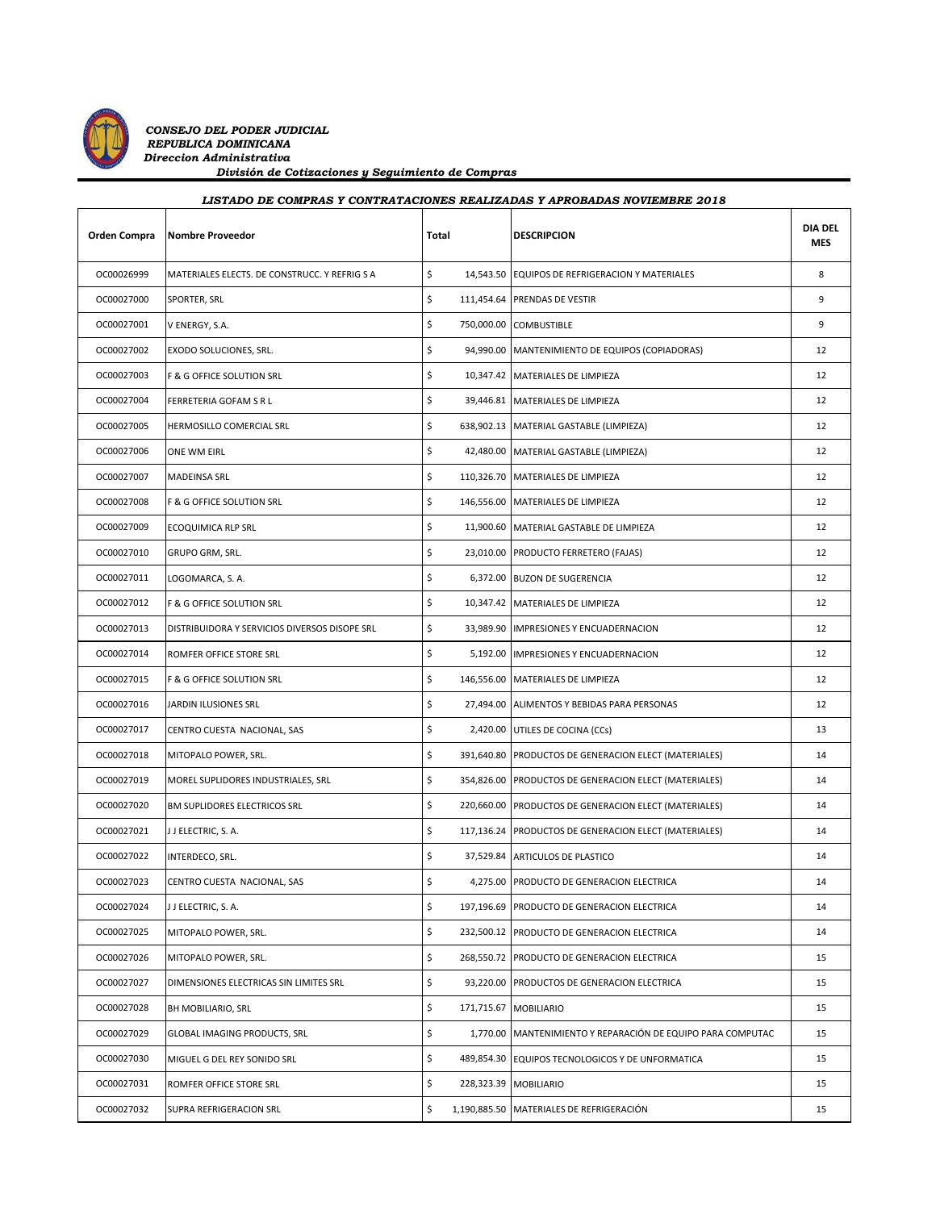

*CONSEJO DEL PODER JUDICIAL REPUBLICA DOMINICANA Direccion Administrativa*

 *División de Cotizaciones y Seguimiento de Compras*

| Division de contraetones y oegaimiento de compras<br>LISTADO DE COMPRAS Y CONTRATACIONES REALIZADAS Y APROBADAS NOVIEMBRE 2018 |                                               |                  |                                                             |                              |  |  |  |
|--------------------------------------------------------------------------------------------------------------------------------|-----------------------------------------------|------------------|-------------------------------------------------------------|------------------------------|--|--|--|
| Orden Compra                                                                                                                   | <b>Nombre Proveedor</b>                       | Total            | <b>DESCRIPCION</b>                                          | <b>DIA DEL</b><br><b>MES</b> |  |  |  |
| OC00026999                                                                                                                     | MATERIALES ELECTS. DE CONSTRUCC. Y REFRIG S A | \$               | 14,543.50 EQUIPOS DE REFRIGERACION Y MATERIALES             | 8                            |  |  |  |
| OC00027000                                                                                                                     | SPORTER, SRL                                  | \$               | 111,454.64 PRENDAS DE VESTIR                                | 9                            |  |  |  |
| OC00027001                                                                                                                     | V ENERGY, S.A.                                | \$               | 750,000.00 COMBUSTIBLE                                      | 9                            |  |  |  |
| OC00027002                                                                                                                     | EXODO SOLUCIONES, SRL.                        | \$               | 94,990.00 MANTENIMIENTO DE EQUIPOS (COPIADORAS)             | 12                           |  |  |  |
| OC00027003                                                                                                                     | F & G OFFICE SOLUTION SRL                     | \$               | 10,347.42 MATERIALES DE LIMPIEZA                            | 12                           |  |  |  |
| OC00027004                                                                                                                     | FERRETERIA GOFAM S R L                        | \$               | 39,446.81 MATERIALES DE LIMPIEZA                            | 12                           |  |  |  |
| OC00027005                                                                                                                     | HERMOSILLO COMERCIAL SRL                      | \$               | 638,902.13 MATERIAL GASTABLE (LIMPIEZA)                     | 12                           |  |  |  |
| OC00027006                                                                                                                     | ONE WM EIRL                                   | \$               | 42,480.00 MATERIAL GASTABLE (LIMPIEZA)                      | 12                           |  |  |  |
| OC00027007                                                                                                                     | MADEINSA SRL                                  | \$               | 110,326.70 MATERIALES DE LIMPIEZA                           | 12                           |  |  |  |
| OC00027008                                                                                                                     | F & G OFFICE SOLUTION SRL                     | \$               | 146,556.00 MATERIALES DE LIMPIEZA                           | 12                           |  |  |  |
| OC00027009                                                                                                                     | ECOQUIMICA RLP SRL                            | \$               | 11,900.60 MATERIAL GASTABLE DE LIMPIEZA                     | 12                           |  |  |  |
| OC00027010                                                                                                                     | GRUPO GRM, SRL.                               | \$               | 23,010.00 PRODUCTO FERRETERO (FAJAS)                        | 12                           |  |  |  |
| OC00027011                                                                                                                     | LOGOMARCA, S. A.                              | \$               | 6,372.00 BUZON DE SUGERENCIA                                | 12                           |  |  |  |
| OC00027012                                                                                                                     | F & G OFFICE SOLUTION SRL                     | \$               | 10,347.42 MATERIALES DE LIMPIEZA                            | 12                           |  |  |  |
| OC00027013                                                                                                                     | DISTRIBUIDORA Y SERVICIOS DIVERSOS DISOPE SRL | \$               | 33,989.90 IMPRESIONES Y ENCUADERNACION                      | 12                           |  |  |  |
| OC00027014                                                                                                                     | ROMFER OFFICE STORE SRL                       | \$               | 5,192.00 IMPRESIONES Y ENCUADERNACION                       | 12                           |  |  |  |
| OC00027015                                                                                                                     | F & G OFFICE SOLUTION SRL                     | \$               | 146,556.00 MATERIALES DE LIMPIEZA                           | 12                           |  |  |  |
| OC00027016                                                                                                                     | JARDIN ILUSIONES SRL                          | \$               | 27,494.00 ALIMENTOS Y BEBIDAS PARA PERSONAS                 | 12                           |  |  |  |
| OC00027017                                                                                                                     | CENTRO CUESTA NACIONAL, SAS                   | \$               | 2,420.00 UTILES DE COCINA (CCs)                             | 13                           |  |  |  |
| OC00027018                                                                                                                     | MITOPALO POWER, SRL.                          | \$               | 391,640.80 PRODUCTOS DE GENERACION ELECT (MATERIALES)       | 14                           |  |  |  |
| OC00027019                                                                                                                     | MOREL SUPLIDORES INDUSTRIALES, SRL            | \$               | 354,826.00 PRODUCTOS DE GENERACION ELECT (MATERIALES)       | 14                           |  |  |  |
| OC00027020                                                                                                                     | <b>BM SUPLIDORES ELECTRICOS SRL</b>           | \$               | 220,660.00 PRODUCTOS DE GENERACION ELECT (MATERIALES)       | 14                           |  |  |  |
| OC00027021                                                                                                                     | J J ELECTRIC, S. A.                           | \$               | 117,136.24 PRODUCTOS DE GENERACION ELECT (MATERIALES)       | 14                           |  |  |  |
| OC00027022                                                                                                                     | INTERDECO, SRL.                               | \$               | 37,529.84 ARTICULOS DE PLASTICO                             | 14                           |  |  |  |
| OC00027023                                                                                                                     | CENTRO CUESTA NACIONAL, SAS                   | \$               | 4,275.00 PRODUCTO DE GENERACION ELECTRICA                   | 14                           |  |  |  |
| OC00027024                                                                                                                     | J J ELECTRIC, S. A.                           | \$               | 197,196.69 PRODUCTO DE GENERACION ELECTRICA                 | 14                           |  |  |  |
| OC00027025                                                                                                                     | MITOPALO POWER, SRL.                          | \$<br>232,500.12 | PRODUCTO DE GENERACION ELECTRICA                            | 14                           |  |  |  |
| OC00027026                                                                                                                     | MITOPALO POWER, SRL.                          | \$               | 268,550.72 PRODUCTO DE GENERACION ELECTRICA                 | 15                           |  |  |  |
| OC00027027                                                                                                                     | DIMENSIONES ELECTRICAS SIN LIMITES SRL        | \$               | 93,220.00 PRODUCTOS DE GENERACION ELECTRICA                 | 15                           |  |  |  |
| OC00027028                                                                                                                     | BH MOBILIARIO, SRL                            | \$               | 171,715.67 MOBILIARIO                                       | 15                           |  |  |  |
| OC00027029                                                                                                                     | GLOBAL IMAGING PRODUCTS, SRL                  | \$               | 1,770.00 MANTENIMIENTO Y REPARACIÓN DE EQUIPO PARA COMPUTAC | 15                           |  |  |  |
| OC00027030                                                                                                                     | MIGUEL G DEL REY SONIDO SRL                   | \$               | 489,854.30 EQUIPOS TECNOLOGICOS Y DE UNFORMATICA            | 15                           |  |  |  |
| OC00027031                                                                                                                     | ROMFER OFFICE STORE SRL                       | \$               | 228,323.39 MOBILIARIO                                       | 15                           |  |  |  |

OC00027032 SUPRA REFRIGERACION SRL 5 1,190,885.50 MATERIALES DE REFRIGERACIÓN 15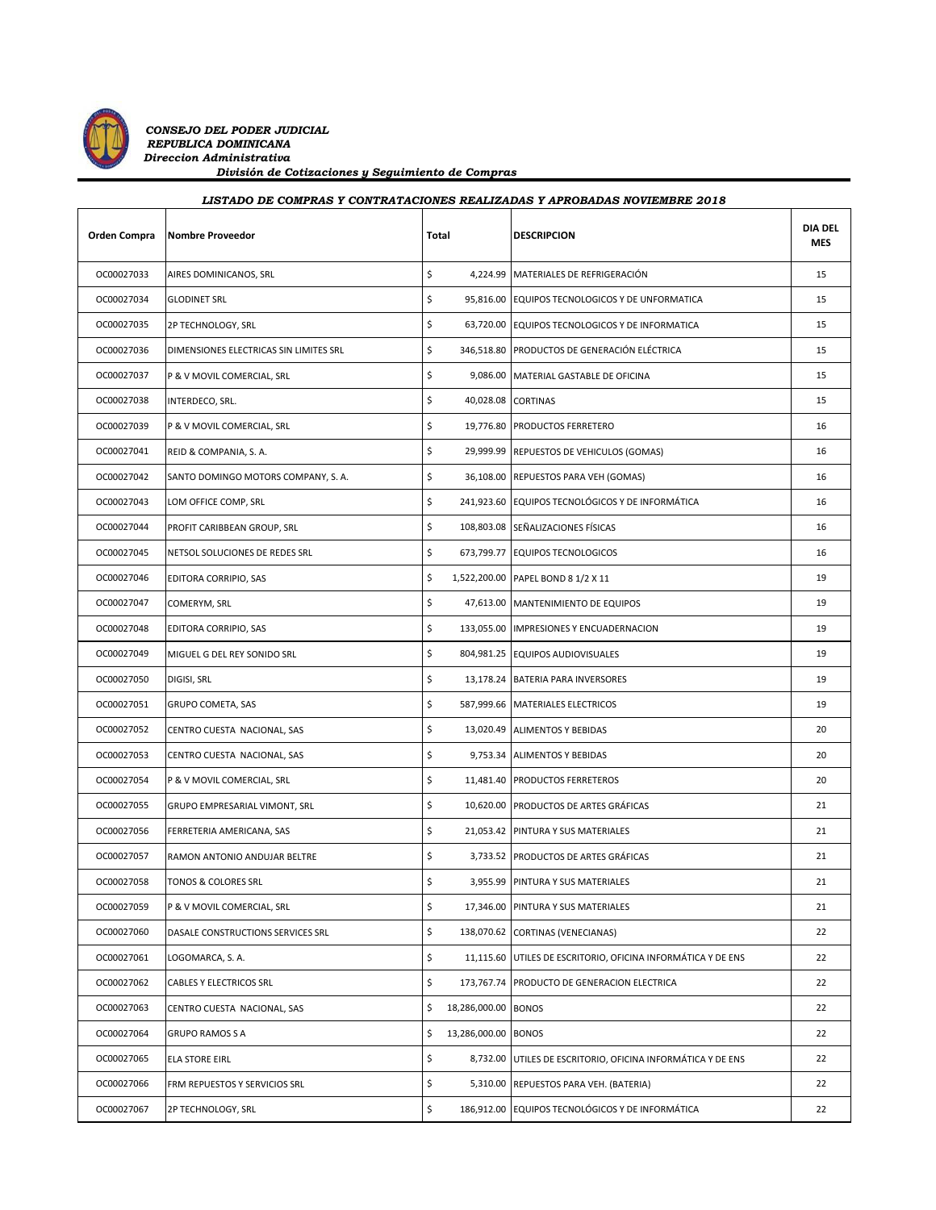

| Orden Compra | Nombre Proveedor                       | Total |                     | <b>DESCRIPCION</b>                                           | <b>DIA DEL</b><br><b>MES</b> |
|--------------|----------------------------------------|-------|---------------------|--------------------------------------------------------------|------------------------------|
| OC00027033   | AIRES DOMINICANOS, SRL                 | \$    |                     | 4,224.99 MATERIALES DE REFRIGERACIÓN                         | 15                           |
| OC00027034   | <b>GLODINET SRL</b>                    | \$    |                     | 95,816.00 EQUIPOS TECNOLOGICOS Y DE UNFORMATICA              | 15                           |
| OC00027035   | 2P TECHNOLOGY, SRL                     | \$    |                     | 63,720.00 EQUIPOS TECNOLOGICOS Y DE INFORMATICA              | 15                           |
| OC00027036   | DIMENSIONES ELECTRICAS SIN LIMITES SRL | \$    |                     | 346,518.80 PRODUCTOS DE GENERACIÓN ELÉCTRICA                 | 15                           |
| OC00027037   | P & V MOVIL COMERCIAL, SRL             | \$    |                     | 9,086.00 MATERIAL GASTABLE DE OFICINA                        | 15                           |
| OC00027038   | INTERDECO, SRL.                        | \$    | 40,028.08 CORTINAS  |                                                              | 15                           |
| OC00027039   | P & V MOVIL COMERCIAL, SRL             | \$    |                     | 19,776.80 PRODUCTOS FERRETERO                                | 16                           |
| OC00027041   | REID & COMPANIA, S. A.                 | \$    |                     | 29,999.99 REPUESTOS DE VEHICULOS (GOMAS)                     | 16                           |
| OC00027042   | SANTO DOMINGO MOTORS COMPANY, S. A.    | \$    |                     | 36,108.00 REPUESTOS PARA VEH (GOMAS)                         | 16                           |
| OC00027043   | LOM OFFICE COMP, SRL                   | \$    |                     | 241,923.60 EQUIPOS TECNOLÓGICOS Y DE INFORMÁTICA             | 16                           |
| OC00027044   | PROFIT CARIBBEAN GROUP, SRL            | \$    |                     | 108,803.08 SEÑALIZACIONES FÍSICAS                            | 16                           |
| OC00027045   | NETSOL SOLUCIONES DE REDES SRL         | \$    |                     | 673,799.77 EQUIPOS TECNOLOGICOS                              | 16                           |
| OC00027046   | EDITORA CORRIPIO, SAS                  | \$    |                     | 1,522,200.00 PAPEL BOND 8 1/2 X 11                           | 19                           |
| OC00027047   | COMERYM, SRL                           | \$    |                     | 47,613.00 MANTENIMIENTO DE EQUIPOS                           | 19                           |
| OC00027048   | EDITORA CORRIPIO, SAS                  | \$    |                     | 133,055.00 IMPRESIONES Y ENCUADERNACION                      | 19                           |
| OC00027049   | MIGUEL G DEL REY SONIDO SRL            | \$    |                     | 804,981.25 EQUIPOS AUDIOVISUALES                             | 19                           |
| OC00027050   | DIGISI, SRL                            | \$    |                     | 13,178.24 BATERIA PARA INVERSORES                            | 19                           |
| OC00027051   | <b>GRUPO COMETA, SAS</b>               | \$    |                     | 587,999.66 MATERIALES ELECTRICOS                             | 19                           |
| OC00027052   | CENTRO CUESTA NACIONAL, SAS            | \$    |                     | 13,020.49 ALIMENTOS Y BEBIDAS                                | 20                           |
| OC00027053   | CENTRO CUESTA NACIONAL, SAS            | \$    |                     | 9,753.34 ALIMENTOS Y BEBIDAS                                 | 20                           |
| OC00027054   | P & V MOVIL COMERCIAL, SRL             | \$    |                     | 11,481.40 PRODUCTOS FERRETEROS                               | 20                           |
| OC00027055   | GRUPO EMPRESARIAL VIMONT, SRL          | \$    |                     | 10,620.00 PRODUCTOS DE ARTES GRÁFICAS                        | 21                           |
| OC00027056   | FERRETERIA AMERICANA, SAS              | \$    |                     | 21,053.42 PINTURA Y SUS MATERIALES                           | 21                           |
| OC00027057   | RAMON ANTONIO ANDUJAR BELTRE           | \$    |                     | 3,733.52 PRODUCTOS DE ARTES GRÁFICAS                         | 21                           |
| OC00027058   | <b>TONOS &amp; COLORES SRL</b>         | \$    |                     | 3,955.99 PINTURA Y SUS MATERIALES                            | 21                           |
| OC00027059   | P & V MOVIL COMERCIAL, SRL             | \$    |                     | 17,346.00 PINTURA Y SUS MATERIALES                           | 21                           |
| OC00027060   | DASALE CONSTRUCTIONS SERVICES SRL      | \$    |                     | 138,070.62 CORTINAS (VENECIANAS)                             | 22                           |
| OC00027061   | LOGOMARCA, S. A.                       | \$    |                     | 11,115.60 UTILES DE ESCRITORIO, OFICINA INFORMÁTICA Y DE ENS | 22                           |
| OC00027062   | CABLES Y ELECTRICOS SRL                | \$    |                     | 173,767.74 PRODUCTO DE GENERACION ELECTRICA                  | 22                           |
| OC00027063   | CENTRO CUESTA NACIONAL, SAS            | \$    | 18,286,000.00       | <b>BONOS</b>                                                 | 22                           |
| OC00027064   | <b>GRUPO RAMOS S A</b>                 | \$    | 13,286,000.00 BONOS |                                                              | 22                           |
| OC00027065   | <b>ELA STORE EIRL</b>                  | \$    |                     | 8,732.00 UTILES DE ESCRITORIO, OFICINA INFORMÁTICA Y DE ENS  | 22                           |
| OC00027066   | FRM REPUESTOS Y SERVICIOS SRL          | \$    |                     | 5,310.00 REPUESTOS PARA VEH. (BATERIA)                       | 22                           |
| OC00027067   | 2P TECHNOLOGY, SRL                     | \$    |                     | 186,912.00 EQUIPOS TECNOLÓGICOS Y DE INFORMÁTICA             | 22                           |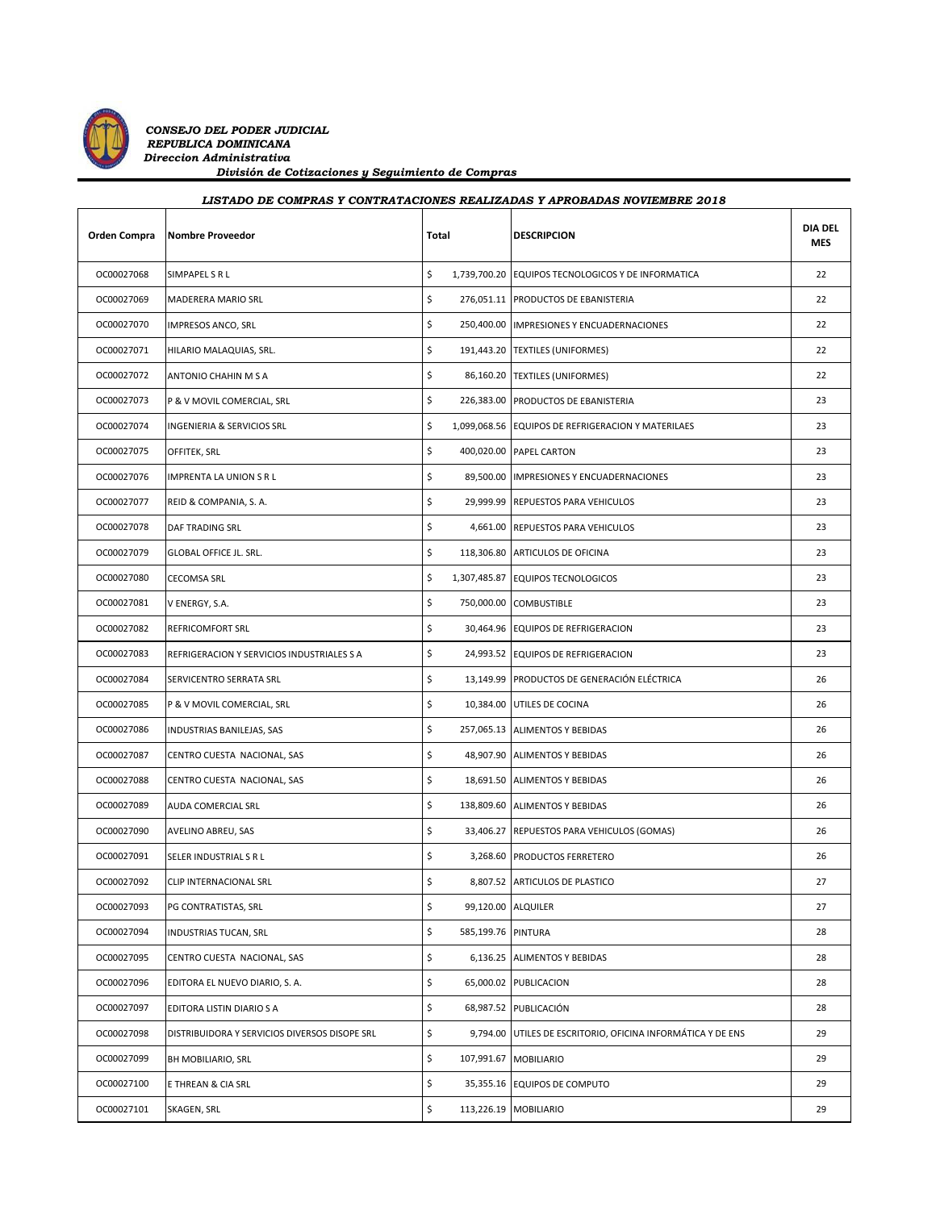

| Orden Compra | <b>Nombre Proveedor</b>                       | Total |                    | <b>DESCRIPCION</b>                                 | <b>DIA DEL</b><br><b>MES</b> |
|--------------|-----------------------------------------------|-------|--------------------|----------------------------------------------------|------------------------------|
| OC00027068   | SIMPAPEL S R L                                | \$    |                    | 1,739,700.20 EQUIPOS TECNOLOGICOS Y DE INFORMATICA | 22                           |
| OC00027069   | <b>MADERERA MARIO SRL</b>                     | \$    |                    | 276,051.11 PRODUCTOS DE EBANISTERIA                | 22                           |
| OC00027070   | IMPRESOS ANCO, SRL                            | \$    |                    | 250,400.00 IMPRESIONES Y ENCUADERNACIONES          | 22                           |
| OC00027071   | HILARIO MALAQUIAS, SRL.                       | \$    |                    | 191,443.20 TEXTILES (UNIFORMES)                    | 22                           |
| OC00027072   | ANTONIO CHAHIN M S A                          | \$    |                    | 86,160.20 TEXTILES (UNIFORMES)                     | 22                           |
| OC00027073   | P & V MOVIL COMERCIAL, SRL                    | \$    |                    | 226,383.00 PRODUCTOS DE EBANISTERIA                | 23                           |
| OC00027074   | INGENIERIA & SERVICIOS SRL                    | \$    |                    | 1,099,068.56 EQUIPOS DE REFRIGERACION Y MATERILAES | 23                           |
| OC00027075   | OFFITEK, SRL                                  | \$    |                    | 400,020.00 PAPEL CARTON                            | 23                           |
| OC00027076   | IMPRENTA LA UNION S R L                       | \$    |                    | 89,500.00 IMPRESIONES Y ENCUADERNACIONES           | 23                           |
| OC00027077   | REID & COMPANIA, S. A.                        | \$    |                    | 29,999.99 REPUESTOS PARA VEHICULOS                 | 23                           |
| OC00027078   | <b>DAF TRADING SRL</b>                        | \$    |                    | 4,661.00 REPUESTOS PARA VEHICULOS                  | 23                           |
| OC00027079   | <b>GLOBAL OFFICE JL. SRL.</b>                 | \$    |                    | 118,306.80 ARTICULOS DE OFICINA                    | 23                           |
| OC00027080   | <b>CECOMSA SRL</b>                            | \$    |                    | 1,307,485.87 EQUIPOS TECNOLOGICOS                  | 23                           |
| OC00027081   | V ENERGY, S.A.                                | \$    |                    | 750,000.00 COMBUSTIBLE                             | 23                           |
| OC00027082   | <b>REFRICOMFORT SRL</b>                       | \$    |                    | 30,464.96 EQUIPOS DE REFRIGERACION                 | 23                           |
| OC00027083   | REFRIGERACION Y SERVICIOS INDUSTRIALES S A    | \$    |                    | 24,993.52 EQUIPOS DE REFRIGERACION                 | 23                           |
| OC00027084   | SERVICENTRO SERRATA SRL                       | \$    |                    | 13,149.99 PRODUCTOS DE GENERACIÓN ELÉCTRICA        | 26                           |
| OC00027085   | P & V MOVIL COMERCIAL, SRL                    | \$    |                    | 10,384.00 UTILES DE COCINA                         | 26                           |
| OC00027086   | INDUSTRIAS BANILEJAS, SAS                     | \$    |                    | 257,065.13 ALIMENTOS Y BEBIDAS                     | 26                           |
| OC00027087   | CENTRO CUESTA NACIONAL, SAS                   | \$    |                    | 48,907.90 ALIMENTOS Y BEBIDAS                      | 26                           |
| OC00027088   | CENTRO CUESTA NACIONAL, SAS                   | \$    |                    | 18,691.50 ALIMENTOS Y BEBIDAS                      | 26                           |
| OC00027089   | AUDA COMERCIAL SRL                            | \$    |                    | 138,809.60 ALIMENTOS Y BEBIDAS                     | 26                           |
| OC00027090   | AVELINO ABREU, SAS                            | \$    |                    | 33,406.27 REPUESTOS PARA VEHICULOS (GOMAS)         | 26                           |
| OC00027091   | SELER INDUSTRIAL S R L                        | \$    |                    | 3,268.60 PRODUCTOS FERRETERO                       | 26                           |
| OC00027092   | CLIP INTERNACIONAL SRL                        | \$    |                    | 8,807.52 ARTICULOS DE PLASTICO                     | 27                           |
| OC00027093   | PG CONTRATISTAS, SRL                          | \$    | 99,120.00 ALQUILER |                                                    | 27                           |
| OC00027094   | <b>INDUSTRIAS TUCAN, SRL</b>                  | \$    | 585,199.76 PINTURA |                                                    | 28                           |
| OC00027095   | CENTRO CUESTA NACIONAL, SAS                   | \$    |                    | 6,136.25 ALIMENTOS Y BEBIDAS                       | 28                           |
| OC00027096   | EDITORA EL NUEVO DIARIO, S. A.                | \$    |                    | 65,000.02 PUBLICACION                              | 28                           |
| OC00027097   | EDITORA LISTIN DIARIO S A                     | \$    |                    | 68,987.52 PUBLICACIÓN                              | 28                           |
| OC00027098   | DISTRIBUIDORA Y SERVICIOS DIVERSOS DISOPE SRL | \$    | 9,794.00           | UTILES DE ESCRITORIO, OFICINA INFORMÁTICA Y DE ENS | 29                           |
| OC00027099   | BH MOBILIARIO, SRL                            | \$    |                    | 107,991.67 MOBILIARIO                              | 29                           |
| OC00027100   | E THREAN & CIA SRL                            | \$    |                    | 35,355.16 EQUIPOS DE COMPUTO                       | 29                           |
| OC00027101   | SKAGEN, SRL                                   | \$    |                    | 113,226.19 MOBILIARIO                              | 29                           |